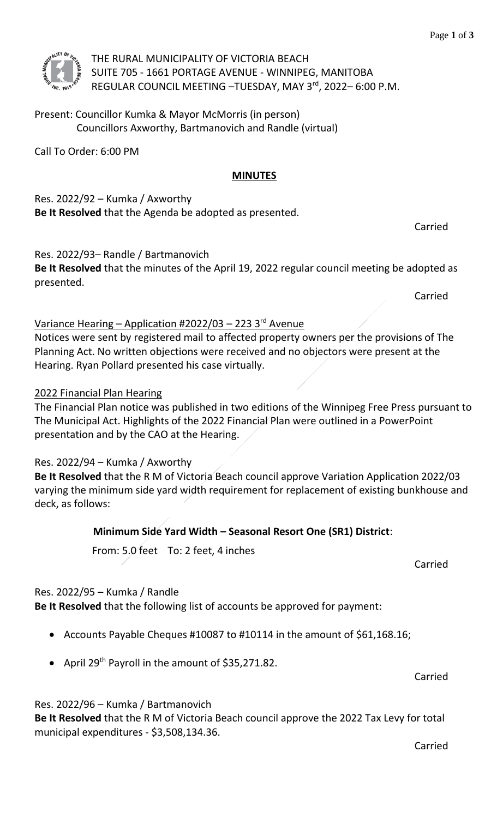

THE RURAL MUNICIPALITY OF VICTORIA BEACH SUITE 705 - 1661 PORTAGE AVENUE - WINNIPEG, MANITOBA REGULAR COUNCIL MEETING - TUESDAY, MAY 3rd, 2022-6:00 P.M.

Present: Councillor Kumka & Mayor McMorris (in person) Councillors Axworthy, Bartmanovich and Randle (virtual)

Call To Order: 6:00 PM

# **MINUTES**

Res. 2022/92 – Kumka / Axworthy **Be It Resolved** that the Agenda be adopted as presented.

Res. 2022/93– Randle / Bartmanovich

**Be It Resolved** that the minutes of the April 19, 2022 regular council meeting be adopted as presented.

Carried

Carried

### Variance Hearing – Application #2022/03 – 223 3<sup>rd</sup> Avenue

Notices were sent by registered mail to affected property owners per the provisions of The Planning Act. No written objections were received and no objectors were present at the Hearing. Ryan Pollard presented his case virtually.

#### 2022 Financial Plan Hearing

The Financial Plan notice was published in two editions of the Winnipeg Free Press pursuant to The Municipal Act. Highlights of the 2022 Financial Plan were outlined in a PowerPoint presentation and by the CAO at the Hearing.

## Res. 2022/94 – Kumka / Axworthy

**Be It Resolved** that the R M of Victoria Beach council approve Variation Application 2022/03 varying the minimum side yard width requirement for replacement of existing bunkhouse and deck, as follows:

## **Minimum Side Yard Width – Seasonal Resort One (SR1) District**:

From: 5.0 feet To: 2 feet, 4 inches

Carried

#### Res. 2022/95 – Kumka / Randle

**Be It Resolved** that the following list of accounts be approved for payment:

- Accounts Payable Cheques #10087 to #10114 in the amount of \$61,168.16;
- April 29<sup>th</sup> Payroll in the amount of \$35,271.82.

Carried

Res. 2022/96 – Kumka / Bartmanovich

**Be It Resolved** that the R M of Victoria Beach council approve the 2022 Tax Levy for total municipal expenditures - \$3,508,134.36.

Carried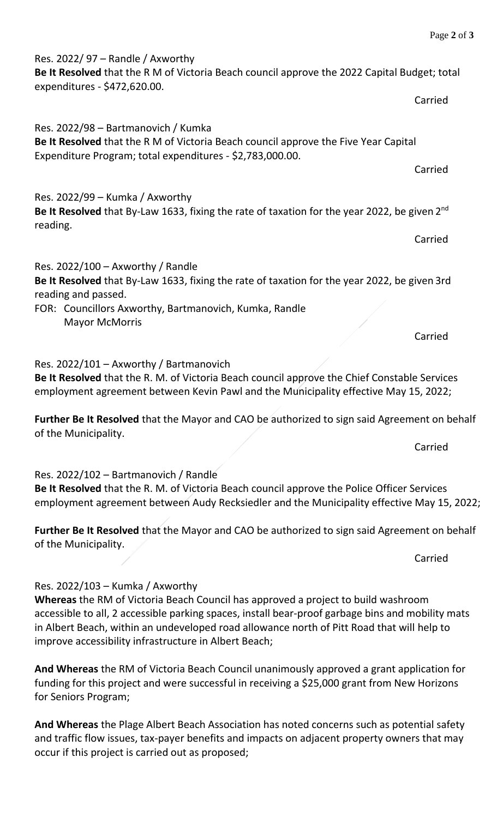Res. 2022/ 97 – Randle / Axworthy

**Be It Resolved** that the R M of Victoria Beach council approve the 2022 Capital Budget; total expenditures - \$472,620.00. Carried

Res. 2022/98 – Bartmanovich / Kumka **Be It Resolved** that the R M of Victoria Beach council approve the Five Year Capital Expenditure Program; total expenditures - \$2,783,000.00.

Res. 2022/99 – Kumka / Axworthy Be It Resolved that By-Law 1633, fixing the rate of taxation for the year 2022, be given 2<sup>nd</sup> reading.

Carried

Carried

Res. 2022/100 – Axworthy / Randle **Be It Resolved** that By-Law 1633, fixing the rate of taxation for the year 2022, be given 3rd reading and passed.

FOR: Councillors Axworthy, Bartmanovich, Kumka, Randle Mayor McMorris

Res. 2022/101 – Axworthy / Bartmanovich

**Be It Resolved** that the R. M. of Victoria Beach council approve the Chief Constable Services employment agreement between Kevin Pawl and the Municipality effective May 15, 2022;

**Further Be It Resolved** that the Mayor and CAO be authorized to sign said Agreement on behalf of the Municipality.

Res. 2022/102 – Bartmanovich / Randle

**Be It Resolved** that the R. M. of Victoria Beach council approve the Police Officer Services employment agreement between Audy Recksiedler and the Municipality effective May 15, 2022;

**Further Be It Resolved** that the Mayor and CAO be authorized to sign said Agreement on behalf of the Municipality.

Res. 2022/103 – Kumka / Axworthy

**Whereas** the RM of Victoria Beach Council has approved a project to build washroom accessible to all, 2 accessible parking spaces, install bear-proof garbage bins and mobility mats in Albert Beach, within an undeveloped road allowance north of Pitt Road that will help to improve accessibility infrastructure in Albert Beach;

**And Whereas** the RM of Victoria Beach Council unanimously approved a grant application for funding for this project and were successful in receiving a \$25,000 grant from New Horizons for Seniors Program;

**And Whereas** the Plage Albert Beach Association has noted concerns such as potential safety and traffic flow issues, tax-payer benefits and impacts on adjacent property owners that may occur if this project is carried out as proposed;

Carried

Carried

Carried